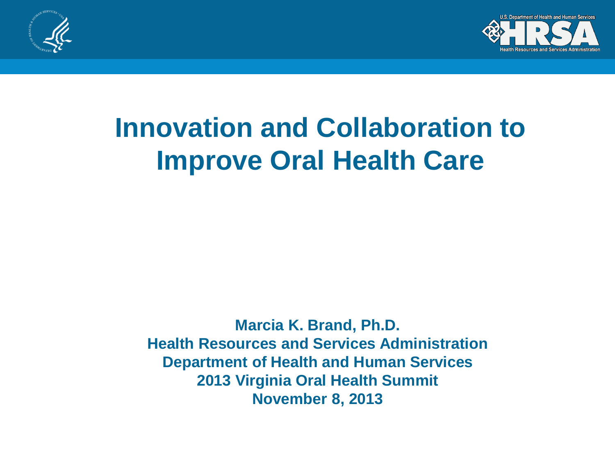



#### **Innovation and Collaboration to Improve Oral Health Care**

**Marcia K. Brand, Ph.D. Health Resources and Services Administration Department of Health and Human Services 2013 Virginia Oral Health Summit November 8, 2013**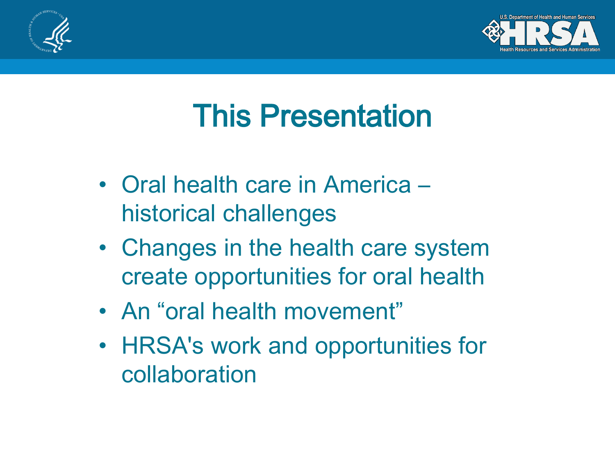



#### This Presentation

- Oral health care in America historical challenges
- Changes in the health care system create opportunities for oral health
- An "oral health movement"
- HRSA's work and opportunities for collaboration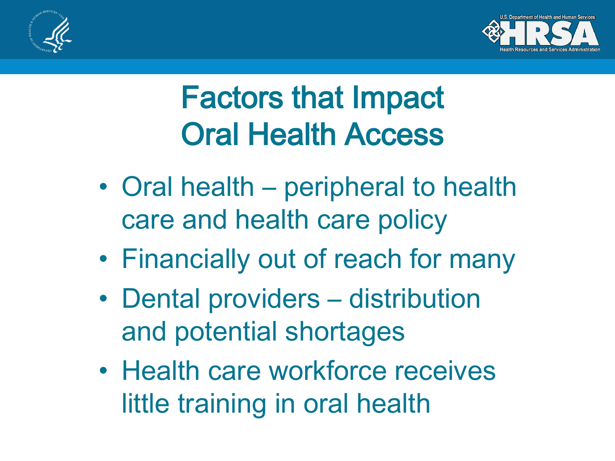



### Factors that Impact Oral Health Access

- Oral health peripheral to health care and health care policy
- Financially out of reach for many
- Dental providers distribution and potential shortages
- Health care workforce receives little training in oral health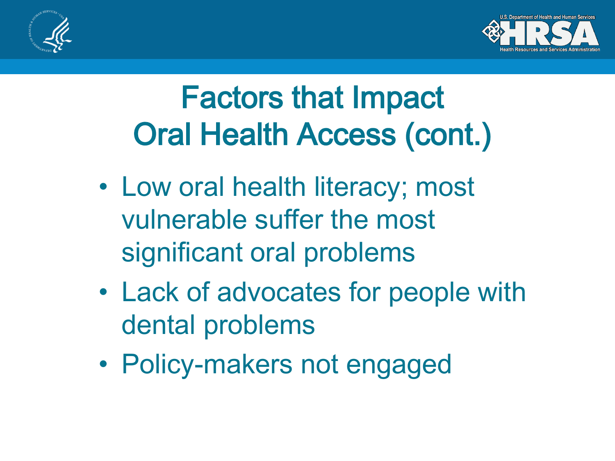



### Factors that Impact Oral Health Access (cont.)

- Low oral health literacy; most vulnerable suffer the most significant oral problems
- Lack of advocates for people with dental problems
- Policy-makers not engaged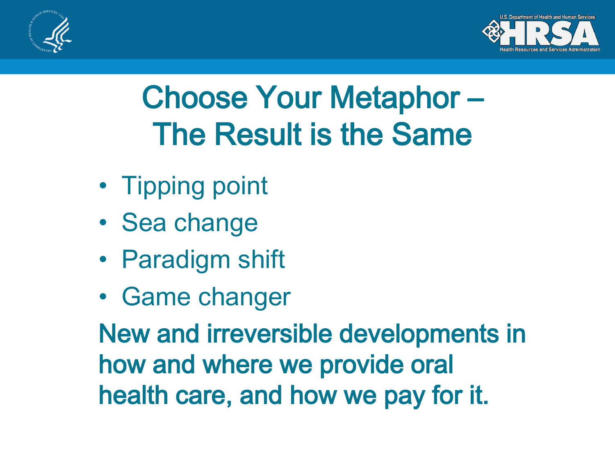



### Choose Your Metaphor – The Result is the Same

- Tipping point
- Sea change
- Paradigm shift
- Game changer

New and irreversible developments in how and where we provide oral health care, and how we pay for it.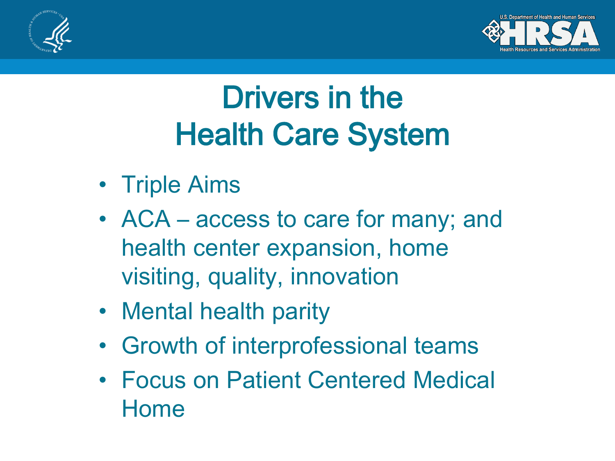



### Drivers in the Health Care System

- Triple Aims
- ACA access to care for many; and health center expansion, home visiting, quality, innovation
- Mental health parity
- Growth of interprofessional teams
- Focus on Patient Centered Medical Home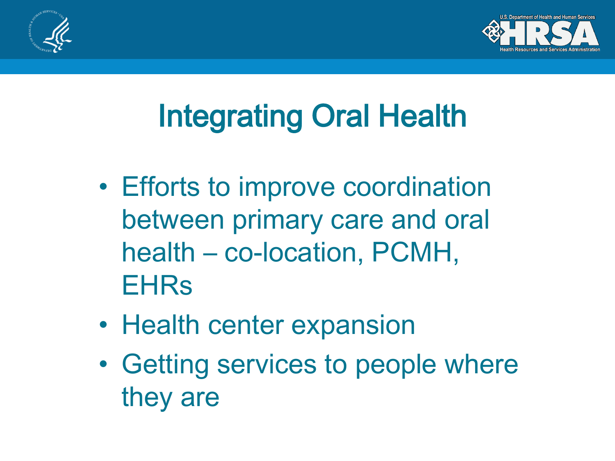



# Integrating Oral Health

- Efforts to improve coordination between primary care and oral health – co-location, PCMH, **EHRs**
- Health center expansion
- Getting services to people where they are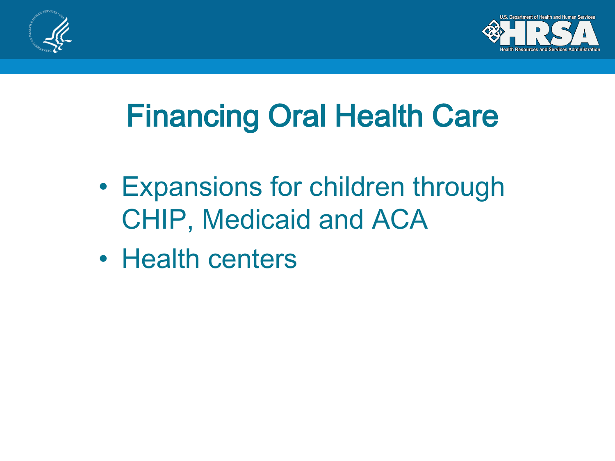



## Financing Oral Health Care

- Expansions for children through CHIP, Medicaid and ACA
- Health centers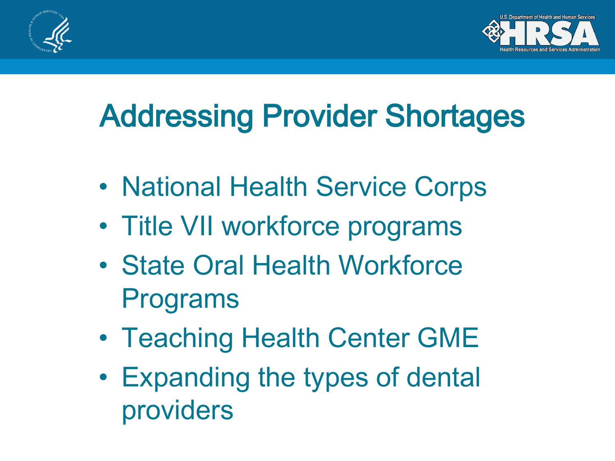



## Addressing Provider Shortages

- National Health Service Corps
- Title VII workforce programs
- State Oral Health Workforce Programs
- Teaching Health Center GME
- Expanding the types of dental providers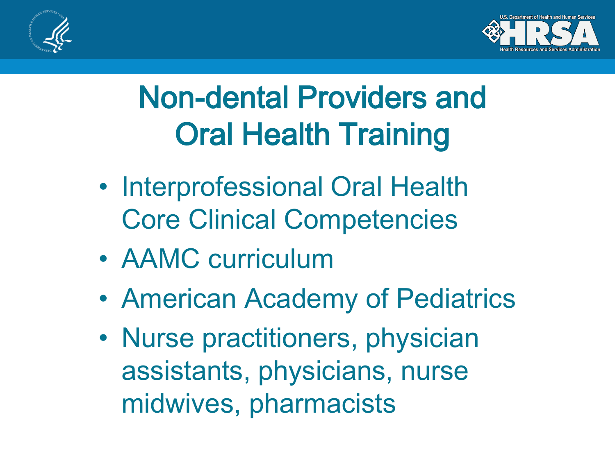



### Non-dental Providers and Oral Health Training

- Interprofessional Oral Health Core Clinical Competencies
- AAMC curriculum
- American Academy of Pediatrics
- Nurse practitioners, physician assistants, physicians, nurse midwives, pharmacists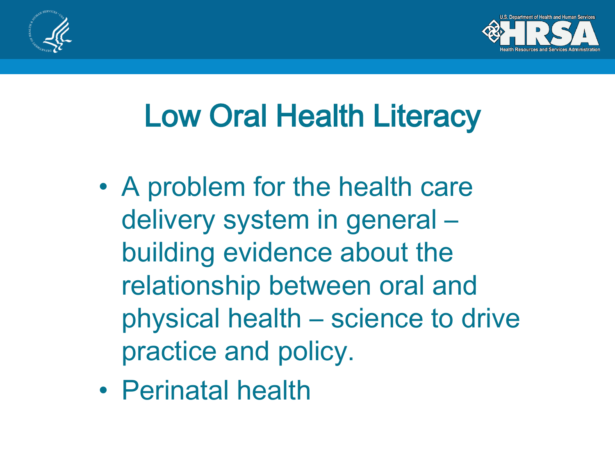



### Low Oral Health Literacy

- A problem for the health care delivery system in general – building evidence about the relationship between oral and physical health – science to drive practice and policy.
- Perinatal health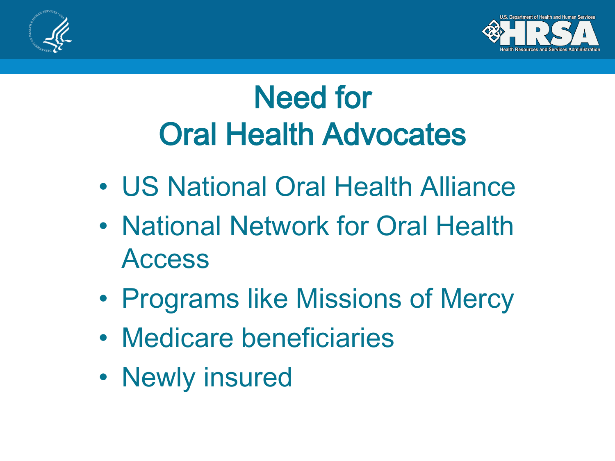



### Need for Oral Health Advocates

- US National Oral Health Alliance
- National Network for Oral Health Access
- Programs like Missions of Mercy
- Medicare beneficiaries
- Newly insured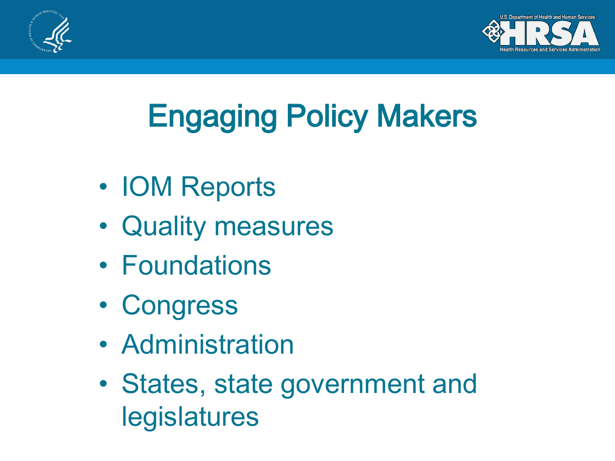



# Engaging Policy Makers

- IOM Reports
- Quality measures
- Foundations
- Congress
- Administration
- States, state government and legislatures